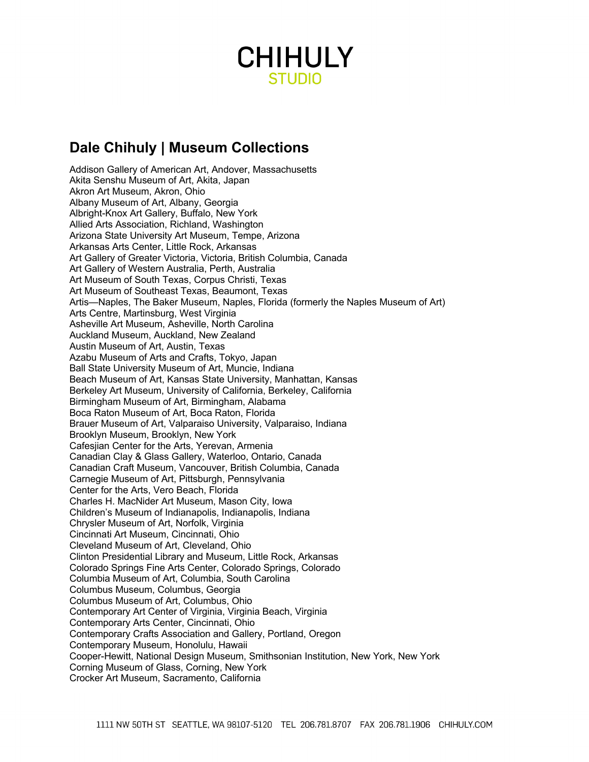#### **Dale Chihuly | Museum Collections**

Addison Gallery of American Art, Andover, Massachusetts Akita Senshu Museum of Art, Akita, Japan Akron Art Museum, Akron, Ohio Albany Museum of Art, Albany, Georgia Albright-Knox Art Gallery, Buffalo, New York Allied Arts Association, Richland, Washington Arizona State University Art Museum, Tempe, Arizona Arkansas Arts Center, Little Rock, Arkansas Art Gallery of Greater Victoria, Victoria, British Columbia, Canada Art Gallery of Western Australia, Perth, Australia Art Museum of South Texas, Corpus Christi, Texas Art Museum of Southeast Texas, Beaumont, Texas Artis—Naples, The Baker Museum, Naples, Florida (formerly the Naples Museum of Art) Arts Centre, Martinsburg, West Virginia Asheville Art Museum, Asheville, North Carolina Auckland Museum, Auckland, New Zealand Austin Museum of Art, Austin, Texas Azabu Museum of Arts and Crafts, Tokyo, Japan Ball State University Museum of Art, Muncie, Indiana Beach Museum of Art, Kansas State University, Manhattan, Kansas Berkeley Art Museum, University of California, Berkeley, California Birmingham Museum of Art, Birmingham, Alabama Boca Raton Museum of Art, Boca Raton, Florida Brauer Museum of Art, Valparaiso University, Valparaiso, Indiana Brooklyn Museum, Brooklyn, New York Cafesjian Center for the Arts, Yerevan, Armenia Canadian Clay & Glass Gallery, Waterloo, Ontario, Canada Canadian Craft Museum, Vancouver, British Columbia, Canada Carnegie Museum of Art, Pittsburgh, Pennsylvania Center for the Arts, Vero Beach, Florida Charles H. MacNider Art Museum, Mason City, Iowa Children's Museum of Indianapolis, Indianapolis, Indiana Chrysler Museum of Art, Norfolk, Virginia Cincinnati Art Museum, Cincinnati, Ohio Cleveland Museum of Art, Cleveland, Ohio Clinton Presidential Library and Museum, Little Rock, Arkansas Colorado Springs Fine Arts Center, Colorado Springs, Colorado Columbia Museum of Art, Columbia, South Carolina Columbus Museum, Columbus, Georgia Columbus Museum of Art, Columbus, Ohio Contemporary Art Center of Virginia, Virginia Beach, Virginia Contemporary Arts Center, Cincinnati, Ohio Contemporary Crafts Association and Gallery, Portland, Oregon Contemporary Museum, Honolulu, Hawaii Cooper-Hewitt, National Design Museum, Smithsonian Institution, New York, New York Corning Museum of Glass, Corning, New York Crocker Art Museum, Sacramento, California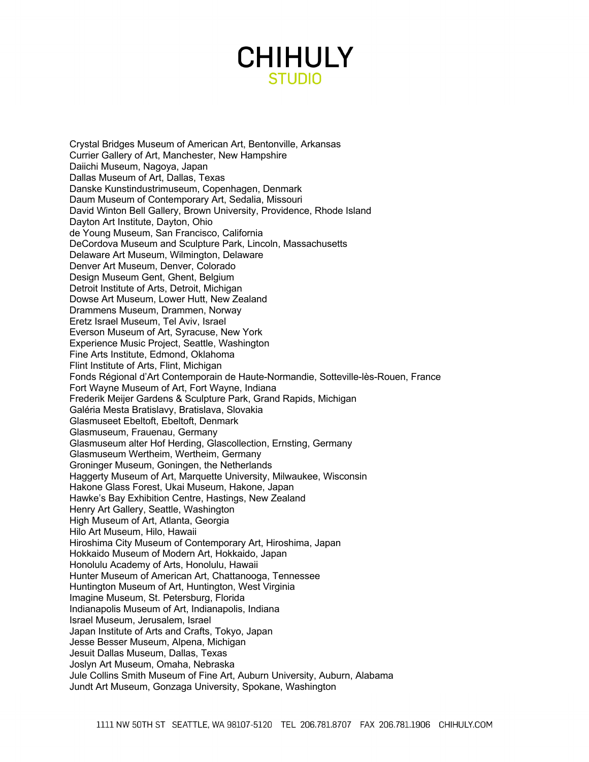Crystal Bridges Museum of American Art, Bentonville, Arkansas Currier Gallery of Art, Manchester, New Hampshire Daiichi Museum, Nagoya, Japan Dallas Museum of Art, Dallas, Texas Danske Kunstindustrimuseum, Copenhagen, Denmark Daum Museum of Contemporary Art, Sedalia, Missouri David Winton Bell Gallery, Brown University, Providence, Rhode Island Dayton Art Institute, Dayton, Ohio de Young Museum, San Francisco, California DeCordova Museum and Sculpture Park, Lincoln, Massachusetts Delaware Art Museum, Wilmington, Delaware Denver Art Museum, Denver, Colorado Design Museum Gent, Ghent, Belgium Detroit Institute of Arts, Detroit, Michigan Dowse Art Museum, Lower Hutt, New Zealand Drammens Museum, Drammen, Norway Eretz Israel Museum, Tel Aviv, Israel Everson Museum of Art, Syracuse, New York Experience Music Project, Seattle, Washington Fine Arts Institute, Edmond, Oklahoma Flint Institute of Arts, Flint, Michigan Fonds Régional d'Art Contemporain de Haute-Normandie, Sotteville-lès-Rouen, France Fort Wayne Museum of Art, Fort Wayne, Indiana Frederik Meijer Gardens & Sculpture Park, Grand Rapids, Michigan Galéria Mesta Bratislavy, Bratislava, Slovakia Glasmuseet Ebeltoft, Ebeltoft, Denmark Glasmuseum, Frauenau, Germany Glasmuseum alter Hof Herding, Glascollection, Ernsting, Germany Glasmuseum Wertheim, Wertheim, Germany Groninger Museum, Goningen, the Netherlands Haggerty Museum of Art, Marquette University, Milwaukee, Wisconsin Hakone Glass Forest, Ukai Museum, Hakone, Japan Hawke's Bay Exhibition Centre, Hastings, New Zealand Henry Art Gallery, Seattle, Washington High Museum of Art, Atlanta, Georgia Hilo Art Museum, Hilo, Hawaii Hiroshima City Museum of Contemporary Art, Hiroshima, Japan Hokkaido Museum of Modern Art, Hokkaido, Japan Honolulu Academy of Arts, Honolulu, Hawaii Hunter Museum of American Art, Chattanooga, Tennessee Huntington Museum of Art, Huntington, West Virginia Imagine Museum, St. Petersburg, Florida Indianapolis Museum of Art, Indianapolis, Indiana Israel Museum, Jerusalem, Israel Japan Institute of Arts and Crafts, Tokyo, Japan Jesse Besser Museum, Alpena, Michigan Jesuit Dallas Museum, Dallas, Texas Joslyn Art Museum, Omaha, Nebraska Jule Collins Smith Museum of Fine Art, Auburn University, Auburn, Alabama Jundt Art Museum, Gonzaga University, Spokane, Washington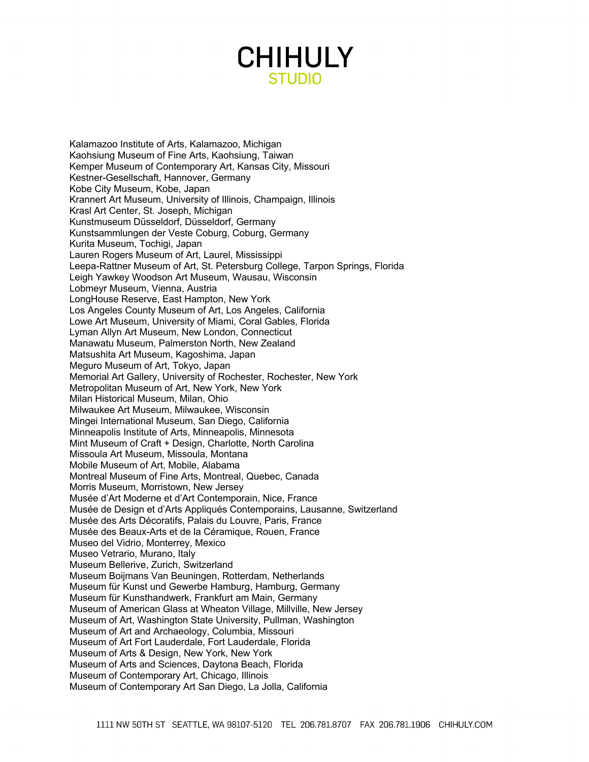Kalamazoo Institute of Arts, Kalamazoo, Michigan Kaohsiung Museum of Fine Arts, Kaohsiung, Taiwan Kemper Museum of Contemporary Art, Kansas City, Missouri Kestner-Gesellschaft, Hannover, Germany Kobe City Museum, Kobe, Japan Krannert Art Museum, University of Illinois, Champaign, Illinois Krasl Art Center, St. Joseph, Michigan Kunstmuseum Düsseldorf, Düsseldorf, Germany Kunstsammlungen der Veste Coburg, Coburg, Germany Kurita Museum, Tochigi, Japan Lauren Rogers Museum of Art, Laurel, Mississippi Leepa-Rattner Museum of Art, St. Petersburg College, Tarpon Springs, Florida Leigh Yawkey Woodson Art Museum, Wausau, Wisconsin Lobmeyr Museum, Vienna, Austria LongHouse Reserve, East Hampton, New York Los Angeles County Museum of Art, Los Angeles, California Lowe Art Museum, University of Miami, Coral Gables, Florida Lyman Allyn Art Museum, New London, Connecticut Manawatu Museum, Palmerston North, New Zealand Matsushita Art Museum, Kagoshima, Japan Meguro Museum of Art, Tokyo, Japan Memorial Art Gallery, University of Rochester, Rochester, New York Metropolitan Museum of Art, New York, New York Milan Historical Museum, Milan, Ohio Milwaukee Art Museum, Milwaukee, Wisconsin Mingei International Museum, San Diego, California Minneapolis Institute of Arts, Minneapolis, Minnesota Mint Museum of Craft + Design, Charlotte, North Carolina Missoula Art Museum, Missoula, Montana Mobile Museum of Art, Mobile, Alabama Montreal Museum of Fine Arts, Montreal, Quebec, Canada Morris Museum, Morristown, New Jersey Musée d'Art Moderne et d'Art Contemporain, Nice, France Musée de Design et d'Arts Appliqués Contemporains, Lausanne, Switzerland Musée des Arts Décoratifs, Palais du Louvre, Paris, France Musée des Beaux-Arts et de la Céramique, Rouen, France Museo del Vidrio, Monterrey, Mexico Museo Vetrario, Murano, Italy Museum Bellerive, Zurich, Switzerland Museum Boijmans Van Beuningen, Rotterdam, Netherlands Museum für Kunst und Gewerbe Hamburg, Hamburg, Germany Museum für Kunsthandwerk, Frankfurt am Main, Germany Museum of American Glass at Wheaton Village, Millville, New Jersey Museum of Art, Washington State University, Pullman, Washington Museum of Art and Archaeology, Columbia, Missouri Museum of Art Fort Lauderdale, Fort Lauderdale, Florida Museum of Arts & Design, New York, New York Museum of Arts and Sciences, Daytona Beach, Florida Museum of Contemporary Art, Chicago, Illinois Museum of Contemporary Art San Diego, La Jolla, California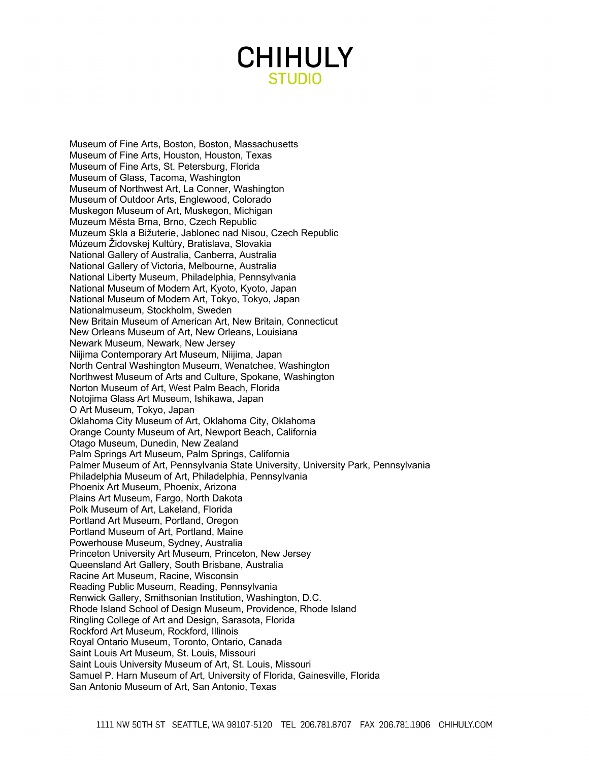Museum of Fine Arts, Boston, Boston, Massachusetts Museum of Fine Arts, Houston, Houston, Texas Museum of Fine Arts, St. Petersburg, Florida Museum of Glass, Tacoma, Washington Museum of Northwest Art, La Conner, Washington Museum of Outdoor Arts, Englewood, Colorado Muskegon Museum of Art, Muskegon, Michigan Muzeum Města Brna, Brno, Czech Republic Muzeum Skla a Bižuterie, Jablonec nad Nisou, Czech Republic Múzeum Židovskej Kultúry, Bratislava, Slovakia National Gallery of Australia, Canberra, Australia National Gallery of Victoria, Melbourne, Australia National Liberty Museum, Philadelphia, Pennsylvania National Museum of Modern Art, Kyoto, Kyoto, Japan National Museum of Modern Art, Tokyo, Tokyo, Japan Nationalmuseum, Stockholm, Sweden New Britain Museum of American Art, New Britain, Connecticut New Orleans Museum of Art, New Orleans, Louisiana Newark Museum, Newark, New Jersey Niijima Contemporary Art Museum, Niijima, Japan North Central Washington Museum, Wenatchee, Washington Northwest Museum of Arts and Culture, Spokane, Washington Norton Museum of Art, West Palm Beach, Florida Notojima Glass Art Museum, Ishikawa, Japan O Art Museum, Tokyo, Japan Oklahoma City Museum of Art, Oklahoma City, Oklahoma Orange County Museum of Art, Newport Beach, California Otago Museum, Dunedin, New Zealand Palm Springs Art Museum, Palm Springs, California Palmer Museum of Art, Pennsylvania State University, University Park, Pennsylvania Philadelphia Museum of Art, Philadelphia, Pennsylvania Phoenix Art Museum, Phoenix, Arizona Plains Art Museum, Fargo, North Dakota Polk Museum of Art, Lakeland, Florida Portland Art Museum, Portland, Oregon Portland Museum of Art, Portland, Maine Powerhouse Museum, Sydney, Australia Princeton University Art Museum, Princeton, New Jersey Queensland Art Gallery, South Brisbane, Australia Racine Art Museum, Racine, Wisconsin Reading Public Museum, Reading, Pennsylvania Renwick Gallery, Smithsonian Institution, Washington, D.C. Rhode Island School of Design Museum, Providence, Rhode Island Ringling College of Art and Design, Sarasota, Florida Rockford Art Museum, Rockford, Illinois Royal Ontario Museum, Toronto, Ontario, Canada Saint Louis Art Museum, St. Louis, Missouri Saint Louis University Museum of Art, St. Louis, Missouri Samuel P. Harn Museum of Art, University of Florida, Gainesville, Florida San Antonio Museum of Art, San Antonio, Texas